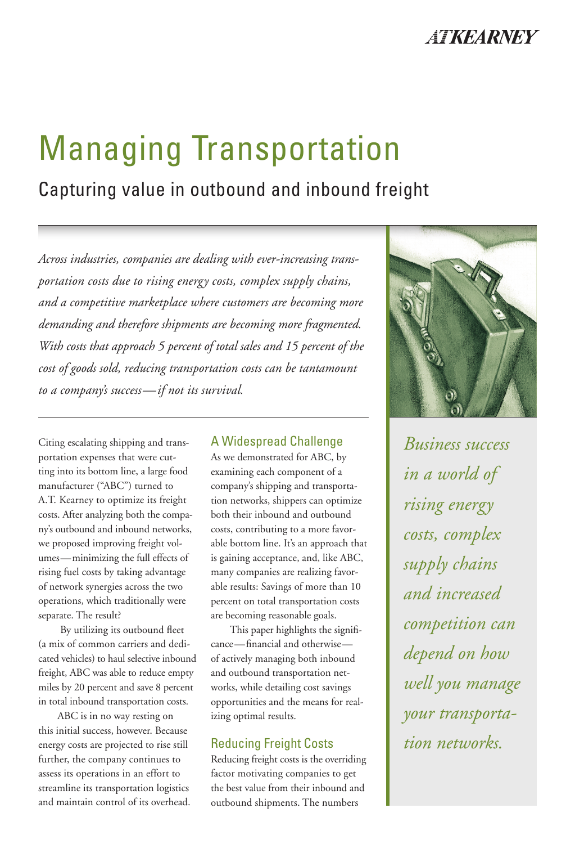

# Managing Transportation

## Capturing value in outbound and inbound freight

*Across industries, companies are dealing with ever-increasing transportation costs due to rising energy costs, complex supply chains, and a competitive marketplace where customers are becoming more demanding and therefore shipments are becoming more fragmented. With costs that approach 5 percent of total sales and 15 percent of the cost of goods sold, reducing transportation costs can be tantamount to a company's success—if not its survival.*

Citing escalating shipping and transportation expenses that were cutting into its bottom line, a large food manufacturer ("ABC") turned to A.T. Kearney to optimize its freight costs. After analyzing both the company's outbound and inbound networks, we proposed improving freight volumes—minimizing the full effects of rising fuel costs by taking advantage of network synergies across the two operations, which traditionally were separate. The result?

 By utilizing its outbound fleet (a mix of common carriers and dedicated vehicles) to haul selective inbound freight, ABC was able to reduce empty miles by 20 percent and save 8 percent in total inbound transportation costs.

 ABC is in no way resting on this initial success, however. Because energy costs are projected to rise still further, the company continues to assess its operations in an effort to streamline its transportation logistics and maintain control of its overhead.

#### A Widespread Challenge

As we demonstrated for ABC, by examining each component of a company's shipping and transportation networks, shippers can optimize both their inbound and outbound costs, contributing to a more favorable bottom line. It's an approach that is gaining acceptance, and, like ABC, many companies are realizing favorable results: Savings of more than 10 percent on total transportation costs are becoming reasonable goals.

 This paper highlights the significance—financial and otherwise of actively managing both inbound and outbound transportation networks, while detailing cost savings opportunities and the means for realizing optimal results.

#### Reducing Freight Costs

Reducing freight costs is the overriding factor motivating companies to get the best value from their inbound and outbound shipments. The numbers



*Business success in a world of rising energy costs, complex supply chains and increased competition can depend on how well you manage your transportation networks.*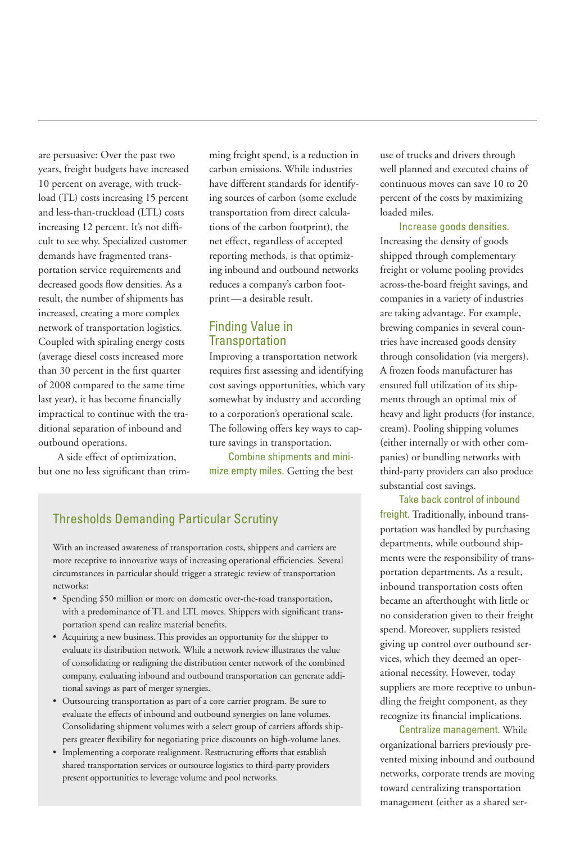are persuasive: Over the past two years, freight budgets have increased 10 percent on average, with truckload (TL) costs increasing 15 percent and less-than-truckload (LTL) costs increasing 12 percent. It's not difficult to see why. Specialized customer demands have fragmented transportation service requirements and decreased goods flow densities. As a result, the number of shipments has increased, creating a more complex network of transportation logistics. Coupled with spiraling energy costs (average diesel costs increased more than 30 percent in the first quarter of 2008 compared to the same time last year), it has become financially impractical to continue with the traditional separation of inbound and outbound operations.

 A side effect of optimization, but one no less significant than trimming freight spend, is a reduction in carbon emissions. While industries have different standards for identifying sources of carbon (some exclude transportation from direct calculations of the carbon footprint), the net effect, regardless of accepted reporting methods, is that optimizing inbound and outbound networks reduces a company's carbon footprint—a desirable result.

#### Finding Value in **Transportation**

Improving a transportation network requires first assessing and identifying cost savings opportunities, which vary somewhat by industry and according to a corporation's operational scale. The following offers key ways to capture savings in transportation.

Combine shipments and minimize empty miles. Getting the best

### Thresholds Demanding Particular Scrutiny

With an increased awareness of transportation costs, shippers and carriers are more receptive to innovative ways of increasing operational efficiencies. Several circumstances in particular should trigger a strategic review of transportation networks:

- Spending \$50 million or more on domestic over-the-road transportation, with a predominance of TL and LTL moves. Shippers with significant transportation spend can realize material benefits.
- Acquiring a new business. This provides an opportunity for the shipper to evaluate its distribution network. While a network review illustrates the value of consolidating or realigning the distribution center network of the combined company, evaluating inbound and outbound transportation can generate additional savings as part of merger synergies.
- Outsourcing transportation as part of a core carrier program. Be sure to evaluate the effects of inbound and outbound synergies on lane volumes. Consolidating shipment volumes with a select group of carriers affords shippers greater flexibility for negotiating price discounts on high-volume lanes.
- Implementing a corporate realignment. Restructuring efforts that establish shared transportation services or outsource logistics to third-party providers present opportunities to leverage volume and pool networks.

use of trucks and drivers through well planned and executed chains of continuous moves can save 10 to 20 percent of the costs by maximizing loaded miles.

Increase goods densities.

Increasing the density of goods shipped through complementary freight or volume pooling provides across-the-board freight savings, and companies in a variety of industries are taking advantage. For example, brewing companies in several countries have increased goods density through consolidation (via mergers). A frozen foods manufacturer has ensured full utilization of its shipments through an optimal mix of heavy and light products (for instance, cream). Pooling shipping volumes (either internally or with other companies) or bundling networks with third-party providers can also produce substantial cost savings.

Take back control of inbound freight. Traditionally, inbound transportation was handled by purchasing departments, while outbound shipments were the responsibility of transportation departments. As a result, inbound transportation costs often became an afterthought with little or no consideration given to their freight spend. Moreover, suppliers resisted giving up control over outbound services, which they deemed an operational necessity. However, today suppliers are more receptive to unbundling the freight component, as they recognize its financial implications.

Centralize management. While organizational barriers previously prevented mixing inbound and outbound networks, corporate trends are moving toward centralizing transportation management (either as a shared ser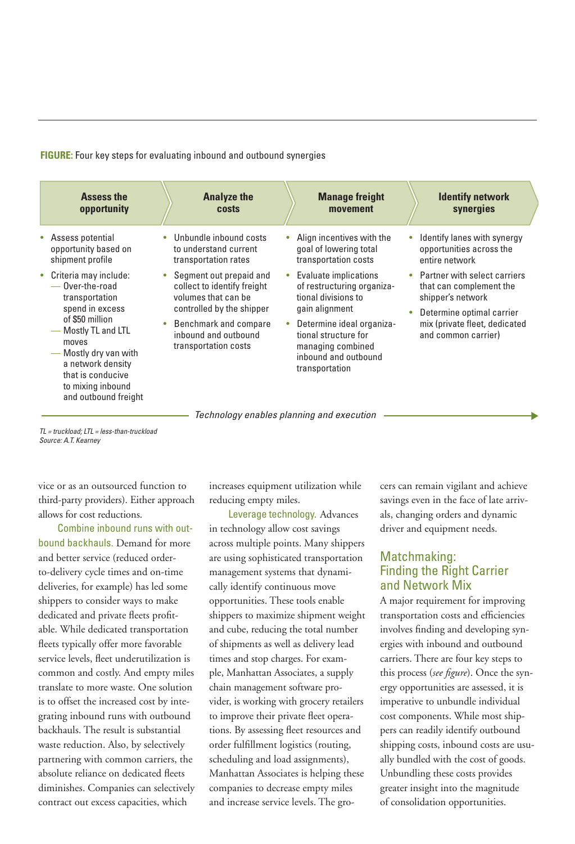**FIGURE:** Four key steps for evaluating inbound and outbound synergies

|                                                                                                                                                                                                                                                                                                            | <b>costs</b>                                                                                                                                      | movement                                                                                                                                                                                                         | <b>Identify network</b><br>synergies                                                                                                                                |
|------------------------------------------------------------------------------------------------------------------------------------------------------------------------------------------------------------------------------------------------------------------------------------------------------------|---------------------------------------------------------------------------------------------------------------------------------------------------|------------------------------------------------------------------------------------------------------------------------------------------------------------------------------------------------------------------|---------------------------------------------------------------------------------------------------------------------------------------------------------------------|
| Assess potential<br>۰<br>opportunity based on<br>shipment profile<br>transportation rates                                                                                                                                                                                                                  | Unbundle inbound costs<br>۰<br>to understand current                                                                                              | Align incentives with the<br>goal of lowering total<br>transportation costs                                                                                                                                      | Identify lanes with synergy<br>opportunities across the<br>entire network                                                                                           |
| Criteria may include:<br>$\bullet$<br>- Over-the-road<br>volumes that can be<br>transportation<br>spend in excess<br>of \$50 million<br>- Mostly TL and LTL<br>moves<br>transportation costs<br>Mostly dry van with<br>a network density<br>that is conducive<br>to mixing inbound<br>and outbound freight | Segment out prepaid and<br>$\bullet$<br>collect to identify freight<br>controlled by the shipper<br>Benchmark and compare<br>inbound and outbound | Evaluate implications<br>of restructuring organiza-<br>tional divisions to<br>gain alignment<br>Determine ideal organiza-<br>tional structure for<br>managing combined<br>inbound and outbound<br>transportation | • Partner with select carriers<br>that can complement the<br>shipper's network<br>Determine optimal carrier<br>mix (private fleet, dedicated<br>and common carrier) |

*TL = truckload; LTL = less-than-truckload Source: A.T. Kearney*

vice or as an outsourced function to third-party providers). Either approach allows for cost reductions.

Combine inbound runs with outbound backhauls. Demand for more and better service (reduced orderto-delivery cycle times and on-time deliveries, for example) has led some shippers to consider ways to make dedicated and private fleets profitable. While dedicated transportation fleets typically offer more favorable service levels, fleet underutilization is common and costly. And empty miles translate to more waste. One solution is to offset the increased cost by integrating inbound runs with outbound backhauls. The result is substantial waste reduction. Also, by selectively partnering with common carriers, the absolute reliance on dedicated fleets diminishes. Companies can selectively contract out excess capacities, which

increases equipment utilization while reducing empty miles.

Leverage technology. Advances in technology allow cost savings across multiple points. Many shippers are using sophisticated transportation management systems that dynamically identify continuous move opportunities. These tools enable shippers to maximize shipment weight and cube, reducing the total number of shipments as well as delivery lead times and stop charges. For example, Manhattan Associates, a supply chain management software provider, is working with grocery retailers to improve their private fleet operations. By assessing fleet resources and order fulfillment logistics (routing, scheduling and load assignments), Manhattan Associates is helping these companies to decrease empty miles and increase service levels. The grocers can remain vigilant and achieve savings even in the face of late arrivals, changing orders and dynamic driver and equipment needs.

#### Matchmaking: Finding the Right Carrier and Network Mix

A major requirement for improving transportation costs and efficiencies involves finding and developing synergies with inbound and outbound carriers. There are four key steps to this process (*see figure*). Once the synergy opportunities are assessed, it is imperative to unbundle individual cost components. While most shippers can readily identify outbound shipping costs, inbound costs are usually bundled with the cost of goods. Unbundling these costs provides greater insight into the magnitude of consolidation opportunities.